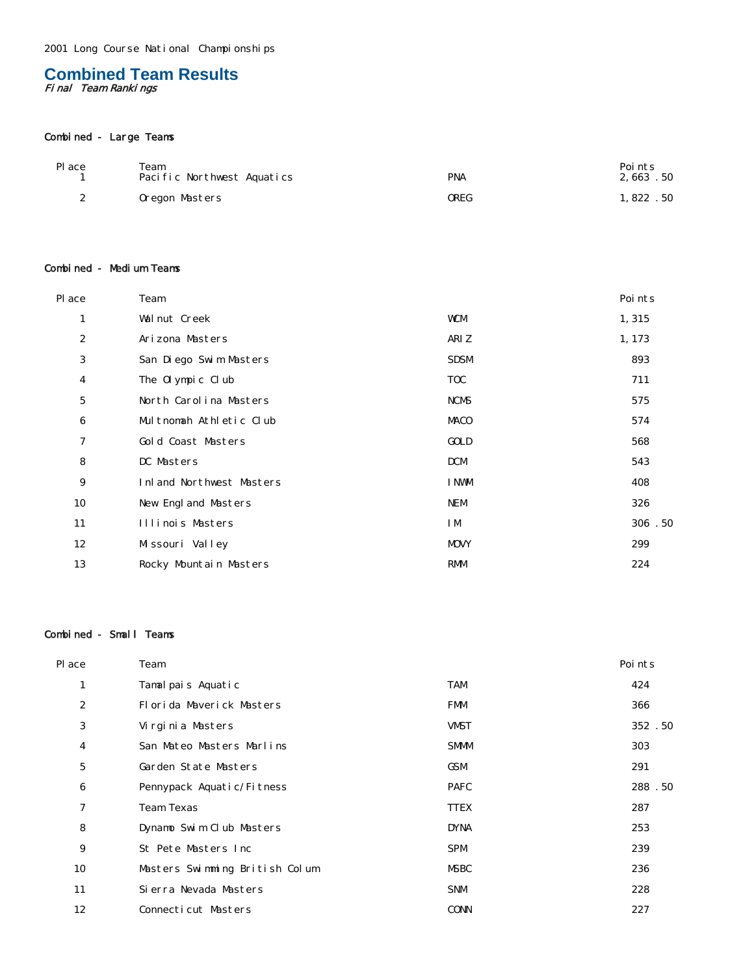# **Combined Team Results** Final Team Rankings

# Combined - Large Teams

| Pl ace           | Team<br>Pacific Northwest Aquatics | <b>PNA</b> | Points<br>2,663.50 |
|------------------|------------------------------------|------------|--------------------|
| $\boldsymbol{2}$ | Oregon Masters                     | OREG       | 1,822.50           |

### Combined - Medium Teams

| Pl ace           | Team                     |             | Points |
|------------------|--------------------------|-------------|--------|
| $\mathbf{1}$     | Walnut Creek             | <b>WCM</b>  | 1, 315 |
| $\boldsymbol{2}$ | Arizona Masters          | ARI Z       | 1, 173 |
| 3                | San Diego Swim Masters   | <b>SDSM</b> | 893    |
| $\boldsymbol{4}$ | The Olympic Club         | <b>TOC</b>  | 711    |
| 5                | North Carolina Masters   | <b>NCMS</b> | 575    |
| $\bf 6$          | Multnomah Athletic Club  | MACO        | 574    |
| 7                | Gold Coast Masters       | GOLD        | 568    |
| 8                | DC Masters               | <b>DCM</b>  | 543    |
| 9                | Inland Northwest Masters | I NWM       | 408    |
| 10               | New England Masters      | <b>NEM</b>  | 326    |
| 11               | Illinois Masters         | I M         | 306.50 |
| 12               | Missouri Valley          | <b>MOVY</b> | 299    |
| 13               | Rocky Mountain Masters   | <b>RMM</b>  | 224    |

#### Combined - Small Teams

| Place            | Team                           |             | Poi nts |
|------------------|--------------------------------|-------------|---------|
| $\mathbf{1}$     | Tamalpais Aquatic              | <b>TAM</b>  | 424     |
| 2                | Florida Maverick Masters       | <b>FMM</b>  | 366     |
| 3                | Virginia Masters               | <b>VMST</b> | 352.50  |
| 4                | San Mateo Masters Marlins      | <b>SMMM</b> | 303     |
| 5                | Garden State Masters           | GSM         | 291     |
| $\boldsymbol{6}$ | Pennypack Aquatic/Fitness      | <b>PAFC</b> | 288.50  |
| 7                | <b>Team Texas</b>              | <b>TTEX</b> | 287     |
| 8                | Dynamo Swim Club Masters       | <b>DYNA</b> | 253     |
| 9                | St Pete Masters Inc            | <b>SPM</b>  | 239     |
| 10               | Masters Swimming British Colum | <b>MSBC</b> | 236     |
| 11               | Si erra Nevada Masters         | <b>SNM</b>  | 228     |
| 12               | Connecticut Masters            | <b>CONN</b> | 227     |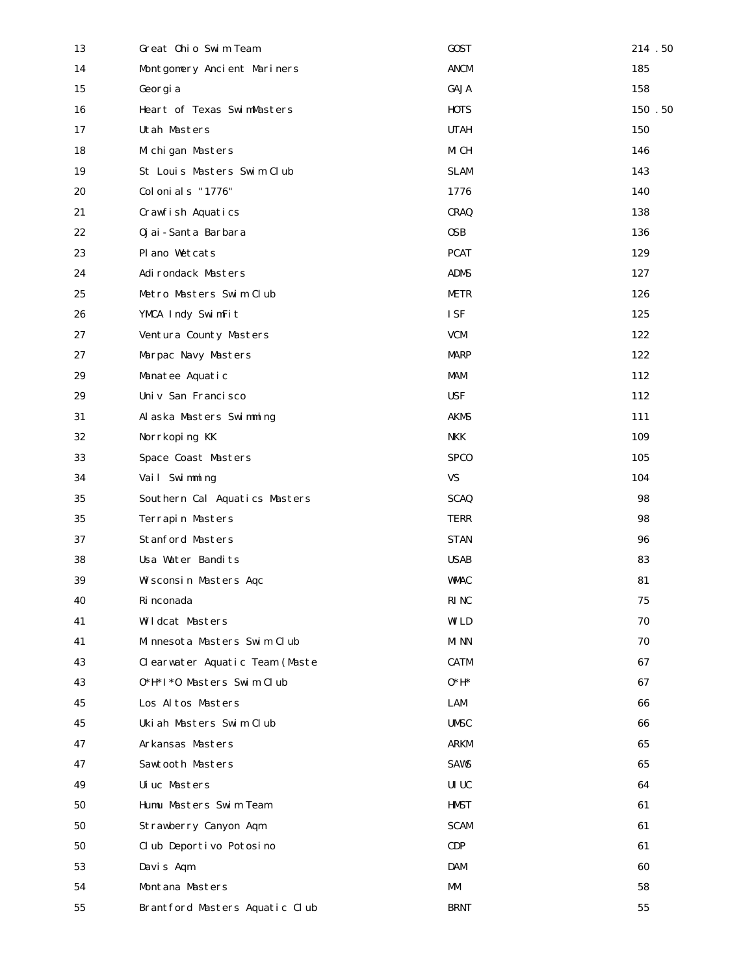| 13         | Great Ohio Swim Team           | <b>GOST</b> | 214.50 |
|------------|--------------------------------|-------------|--------|
| 14         | Montgomery Ancient Mariners    | <b>ANCM</b> | 185    |
| 15         | Georgia                        | GAJA        | 158    |
| 16         | Heart of Texas SwimMasters     | <b>HOTS</b> | 150.50 |
| 17         | Utah Masters                   | <b>UTAH</b> | 150    |
| 18         | Michigan Masters               | MI CH       | 146    |
| 19         | St Louis Masters Swim Club     | <b>SLAM</b> | 143    |
| 20         | Colonials "1776"               | 1776        | 140    |
| 21         | Crawfish Aquatics              | <b>CRAQ</b> | 138    |
| 22         | Oj ai - Santa Barbara          | 0SB         | 136    |
| 23         | Pl ano Wetcats                 | <b>PCAT</b> | 129    |
| 24         | Adirondack Masters             | <b>ADMS</b> | 127    |
| 25         | Metro Masters Swim Club        | METR        | 126    |
| 26         | YMCA Indy SwimFit              | <b>ISF</b>  | 125    |
| 27         | Ventura County Masters         | <b>VCM</b>  | 122    |
| 27         | Marpac Navy Masters            | <b>MARP</b> | 122    |
| 29         | Manatee Aquatic                | MAM         | 112    |
| 29         | Univ San Francisco             | <b>USF</b>  | 112    |
| 31         | Alaska Masters Swimming        | <b>AKMS</b> | 111    |
| 32         | Norrkoping KK                  | NKK         | 109    |
| 33         | Space Coast Masters            | <b>SPCO</b> | 105    |
| 34         | Vail Swimming                  | <b>VS</b>   | 104    |
| 35         | Southern Cal Aquatics Masters  | <b>SCAQ</b> | 98     |
| 35         | Terrapin Masters               | <b>TERR</b> | 98     |
| 37         | <b>Stanford Masters</b>        | <b>STAN</b> | 96     |
| 38         | Usa Water Bandits              | <b>USAB</b> | 83     |
| 39         | Wisconsin Masters Aqc          | <b>WMAC</b> | 81     |
| 40         | Ri nconada                     | <b>RINC</b> | 75     |
| 41         | Wildcat Masters                | WI LD       | 70     |
| 41         | Minnesota Masters Swim Club    | MI NN       | 70     |
| 43         | Clearwater Aquatic Team (Maste | <b>CATM</b> | 67     |
| 43         | 0*H*I*0 Masters Swim Club      | $0*H*$      | 67     |
| 45         | Los Altos Masters              | <b>LAM</b>  | 66     |
| 45         | Ukiah Masters Swim Club        | <b>UMSC</b> | 66     |
| 47         | Arkansas Masters               | <b>ARKM</b> | 65     |
| 47         | Sawtooth Masters               | <b>SAWS</b> | 65     |
| 49         | Uiuc Masters                   | UI UC       | 64     |
| 50         | Humu Masters Swim Team         | <b>HMST</b> | 61     |
| 50         | Strawberry Canyon Aqm          | <b>SCAM</b> | 61     |
| 50         | Club Deportivo Potosino        | CDP         | 61     |
| 53         | Davis Aqm                      | <b>DAM</b>  | 60     |
| 54         | Montana Masters                | MM          | 58     |
| ${\bf 55}$ | Brantford Masters Aquatic Club | <b>BRNT</b> | 55     |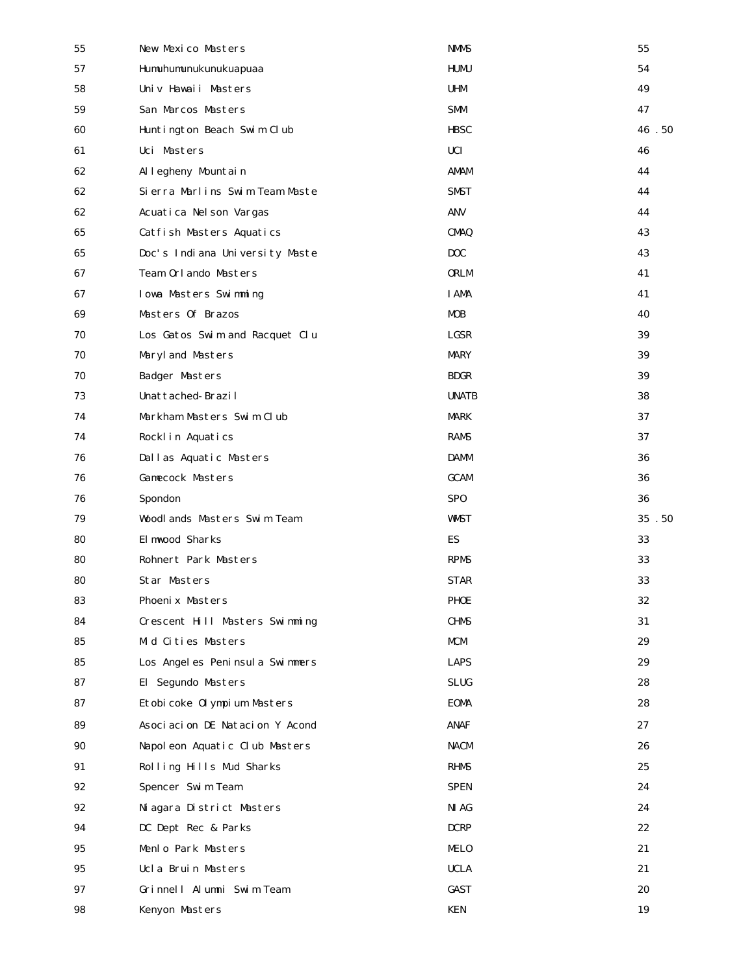| 55 | New Mexico Masters             | <b>NMMS</b>      | 55    |
|----|--------------------------------|------------------|-------|
| 57 | Humuhumunukunukuapuaa          | <b>HUMU</b>      | 54    |
| 58 | Univ Hawaii Masters            | UHM              | 49    |
| 59 | San Marcos Masters             | SMM              | 47    |
| 60 | Huntington Beach Swim Club     | <b>HBSC</b>      | 46.50 |
| 61 | Uci Masters                    | <b>UCI</b>       | 46    |
| 62 | Al legheny Mountain            | AMAM             | 44    |
| 62 | Sierra Marlins Swim Team Maste | <b>SMST</b>      | 44    |
| 62 | Acuatica Nelson Vargas         | <b>ANV</b>       | 44    |
| 65 | Catfish Masters Aquatics       | <b>CMAQ</b>      | 43    |
| 65 | Doc's Indiana University Maste | D <sub>O</sub> C | 43    |
| 67 | Team Orlando Masters           | <b>ORLM</b>      | 41    |
| 67 | Iowa Masters Swimming          | <b>I AMA</b>     | 41    |
| 69 | Masters Of Brazos              | <b>MOB</b>       | 40    |
| 70 | Los Gatos Swim and Racquet Clu | <b>LGSR</b>      | 39    |
| 70 | Maryl and Masters              | <b>MARY</b>      | 39    |
| 70 | <b>Badger Masters</b>          | <b>BDGR</b>      | 39    |
| 73 | Unattached-Brazil              | <b>UNATB</b>     | 38    |
| 74 | Markham Masters Swim Club      | MARK             | 37    |
| 74 | Rocklin Aquatics               | RAMS             | 37    |
| 76 | Dallas Aquatic Masters         | <b>DAMM</b>      | 36    |
| 76 | <b>Gamecock Masters</b>        | <b>GCAM</b>      | 36    |
| 76 | Spondon                        | SP <sub>0</sub>  | 36    |
| 79 | Woodlands Masters Swim Team    | <b>WMST</b>      | 35.50 |
| 80 | El mwood Sharks                | ES               | 33    |
| 80 | Rohnert Park Masters           | <b>RPMS</b>      | 33    |
| 80 | Star Masters                   | <b>STAR</b>      | 33    |
| 83 | Phoenix Masters                | <b>PHOE</b>      | 32    |
| 84 | Crescent Hill Masters Swimming | <b>CHMS</b>      | 31    |
| 85 | Mid Cities Masters             | MCM              | 29    |
| 85 | Los Angeles Peninsula Swimmers | <b>LAPS</b>      | 29    |
| 87 | El Segundo Masters             | <b>SLUG</b>      | 28    |
| 87 | Etobicoke Olympium Masters     | <b>EOMA</b>      | 28    |
| 89 | Asociacion DE Natacion Y Acond | <b>ANAF</b>      | 27    |
| 90 | Napoleon Aquatic Club Masters  | <b>NACM</b>      | 26    |
| 91 | Rolling Hills Mud Sharks       | <b>RHMS</b>      | 25    |
| 92 | Spencer Swim Team              | <b>SPEN</b>      | 24    |
| 92 | Niagara District Masters       | NI AG            | 24    |
| 94 | DC Dept Rec & Parks            | <b>DCRP</b>      | 22    |
| 95 | Menlo Park Masters             | MELO             | 21    |
| 95 | Ucla Bruin Masters             | <b>UCLA</b>      | 21    |
| 97 | Grinnell Alumni Swim Team      | <b>GAST</b>      | 20    |
| 98 | Kenyon Masters                 | <b>KEN</b>       | 19    |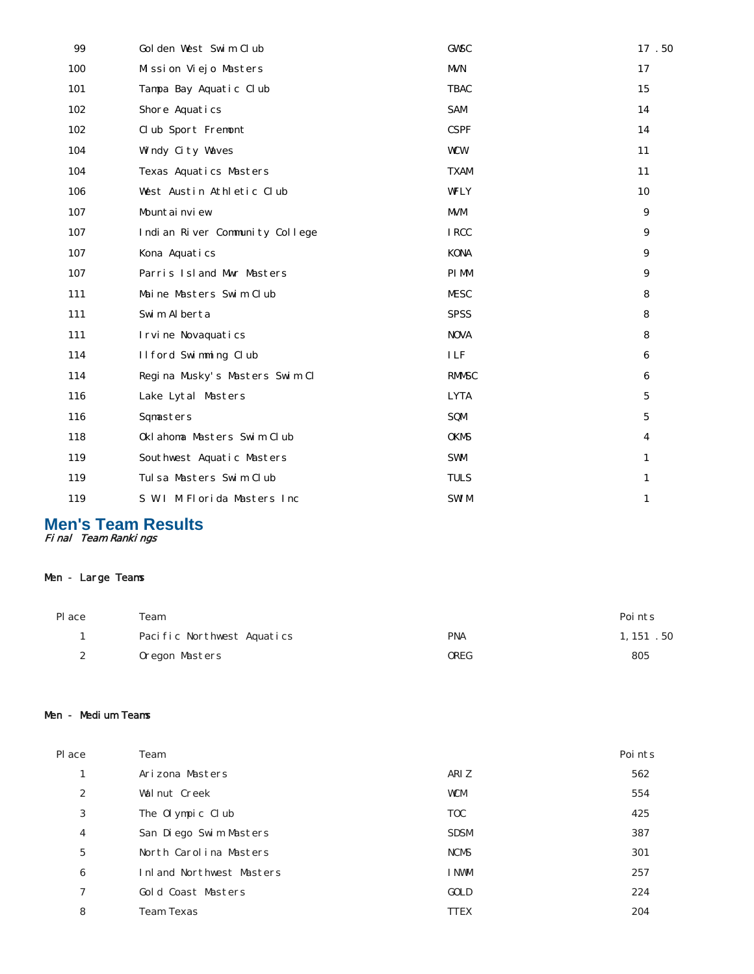| 99  | Golden West Swim Club          | <b>GWSC</b>  | 17.50           |
|-----|--------------------------------|--------------|-----------------|
| 100 | Mission Viejo Masters          | <b>MVN</b>   | 17              |
| 101 | Tampa Bay Aquatic Club         | <b>TBAC</b>  | 15              |
| 102 | Shore Aquatics                 | <b>SAM</b>   | 14              |
| 102 | Club Sport Fremont             | <b>CSPF</b>  | 14              |
| 104 | Windy City Waves               | <b>WCW</b>   | 11              |
| 104 | Texas Aquatics Masters         | <b>TXAM</b>  | 11              |
| 106 | West Austin Athletic Club      | <b>WFLY</b>  | 10              |
| 107 | Mountainview                   | <b>MVM</b>   | 9               |
| 107 | Indian River Community College | <b>IRCC</b>  | 9               |
| 107 | Kona Aquatics                  | <b>KONA</b>  | 9               |
| 107 | Parris Island Mwr Masters      | PI MM        | 9               |
| 111 | Maine Masters Swim Club        | <b>MESC</b>  | 8               |
| 111 | Swim Alberta                   | <b>SPSS</b>  | 8               |
| 111 | I rvi ne Novaquati cs          | <b>NOVA</b>  | 8               |
| 114 | Ilford Swimming Club           | <b>ILF</b>   | 6               |
| 114 | Regina Musky's Masters Swim Cl | <b>RMMSC</b> | 6               |
| 116 | Lake Lytal Masters             | <b>LYTA</b>  | $\mathbf{5}$    |
| 116 | Sqmasters                      | SQM          | $5\phantom{.0}$ |
| 118 | Oklahoma Masters Swim Club     | <b>OKMS</b>  | $\overline{4}$  |
| 119 | Southwest Aquatic Masters      | <b>SWM</b>   | 1               |
| 119 | Tulsa Masters Swim Club        | <b>TULS</b>  | 1               |
| 119 | S W I M Florida Masters Inc    | <b>SWIM</b>  | $\mathbf{1}$    |
|     |                                |              |                 |

**Men's Team Results** Final Team Rankings

# Men - Large Teams

| Pl ace | Team                       |             | Points     |
|--------|----------------------------|-------------|------------|
|        | Pacific Northwest Aquatics | <b>PNA</b>  | 1, 151 .50 |
| 2      | Oregon Masters             | <b>OREG</b> | 805        |

#### Men - Medium Teams

| <b>Pl</b> ace    | Team                     |             | Points |
|------------------|--------------------------|-------------|--------|
| Ŧ,               | Arizona Masters          | ARI Z       | 562    |
| $\boldsymbol{2}$ | Walnut Creek             | <b>WCM</b>  | 554    |
| 3                | The Olympic Club         | <b>TOC</b>  | 425    |
| 4                | San Diego Swim Masters   | <b>SDSM</b> | 387    |
| 5                | North Carolina Masters   | <b>NCMS</b> | 301    |
| 6                | Inland Northwest Masters | I NWM       | 257    |
| 7                | Gold Coast Masters       | GOLD        | 224    |
| 8                | <b>Team Texas</b>        | <b>TTEX</b> | 204    |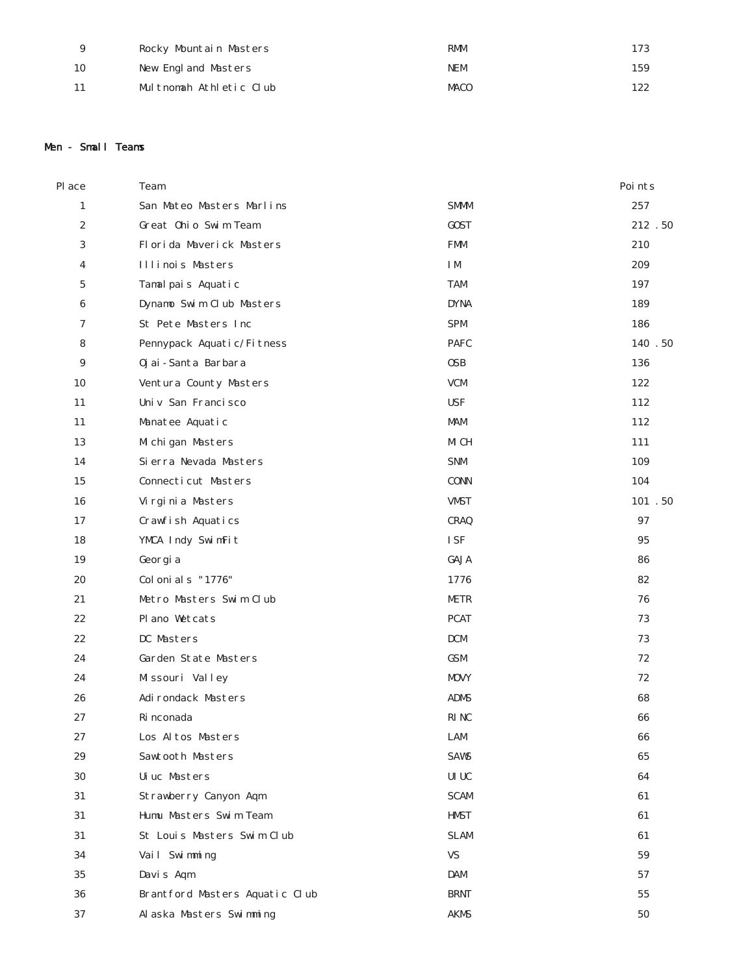| 9  | Rocky Mountain Masters  | <b>RMM</b>  | 173 |
|----|-------------------------|-------------|-----|
| 10 | New England Masters     | <b>NEM</b>  | 159 |
|    | Multnomah Athletic Club | <b>MACO</b> | 122 |

### Men - Small Teams

| Place            | Team                           |                                      | Points  |
|------------------|--------------------------------|--------------------------------------|---------|
| $\mathbf{1}$     | San Mateo Masters Marlins      | <b>SMMM</b>                          | 257     |
| $\boldsymbol{2}$ | Great Ohio Swim Team           | <b>GOST</b>                          | 212 .50 |
| 3                | Florida Maverick Masters       | <b>FMM</b>                           | 210     |
| 4                | Illinois Masters               | I M                                  | 209     |
| 5                | Tamal pais Aquatic             | TAM                                  | 197     |
| $6\phantom{1}6$  | Dynamo Swim Club Masters       | <b>DYNA</b>                          | 189     |
| 7                | St Pete Masters Inc            | <b>SPM</b>                           | 186     |
| 8                | Pennypack Aquatic/Fitness      | <b>PAFC</b>                          | 140.50  |
| $\boldsymbol{9}$ | Oj ai - Santa Barbara          | <b>OSB</b>                           | 136     |
| 10               | Ventura County Masters         | <b>VCM</b>                           | 122     |
| 11               | Univ San Francisco             | <b>USF</b>                           | 112     |
| 11               | Manatee Aquatic                | <b>MAM</b>                           | 112     |
| 13               | Michigan Masters               | MI CH                                | 111     |
| 14               | Si erra Nevada Masters         | <b>SNM</b>                           | 109     |
| 15               | Connecticut Masters            | <b>CONN</b>                          | 104     |
| 16               | Virginia Masters               | <b>VMST</b>                          | 101.50  |
| 17               | Crawfish Aquatics              | <b>CRAQ</b>                          | 97      |
| 18               | YMCA Indy SwimFit              | <b>ISF</b>                           | 95      |
| 19               | Georgia                        | <b>GAJA</b>                          | 86      |
| 20               | Colonials "1776"               | 1776                                 | 82      |
| 21               | Metro Masters Swim Club        | <b>METR</b>                          | 76      |
| 22               | Pl ano Wetcats                 | <b>PCAT</b>                          | 73      |
| 22               | DC Masters                     | <b>DCM</b>                           | 73      |
| 24               | Garden State Masters           | GSM                                  | 72      |
| 24               | Missouri Valley                | <b>MOVY</b>                          | 72      |
| 26               | Adirondack Masters             | <b>ADMS</b>                          | 68      |
| 27               | Ri nconada                     | RI NC                                | 66      |
| 27               | Los Altos Masters              | LAM                                  | 66      |
| 29               | Sawtooth Masters               | <b>SAWS</b>                          | 65      |
| 30               | Uiuc Masters                   | $\ensuremath{\mathsf{UI}}\xspace$ UC | 64      |
| 31               | Strawberry Canyon Aqm          | <b>SCAM</b>                          | 61      |
| 31               | Humu Masters Swim Team         | <b>HMST</b>                          | 61      |
| 31               | St Louis Masters Swim Club     | <b>SLAM</b>                          | 61      |
| 34               | Vail Swimming                  | <b>VS</b>                            | 59      |
| 35               | Davis Aqm                      | DAM                                  | 57      |
| 36               | Brantford Masters Aquatic Club | <b>BRNT</b>                          | 55      |
| 37               | Alaska Masters Swimming        | <b>AKMS</b>                          | 50      |
|                  |                                |                                      |         |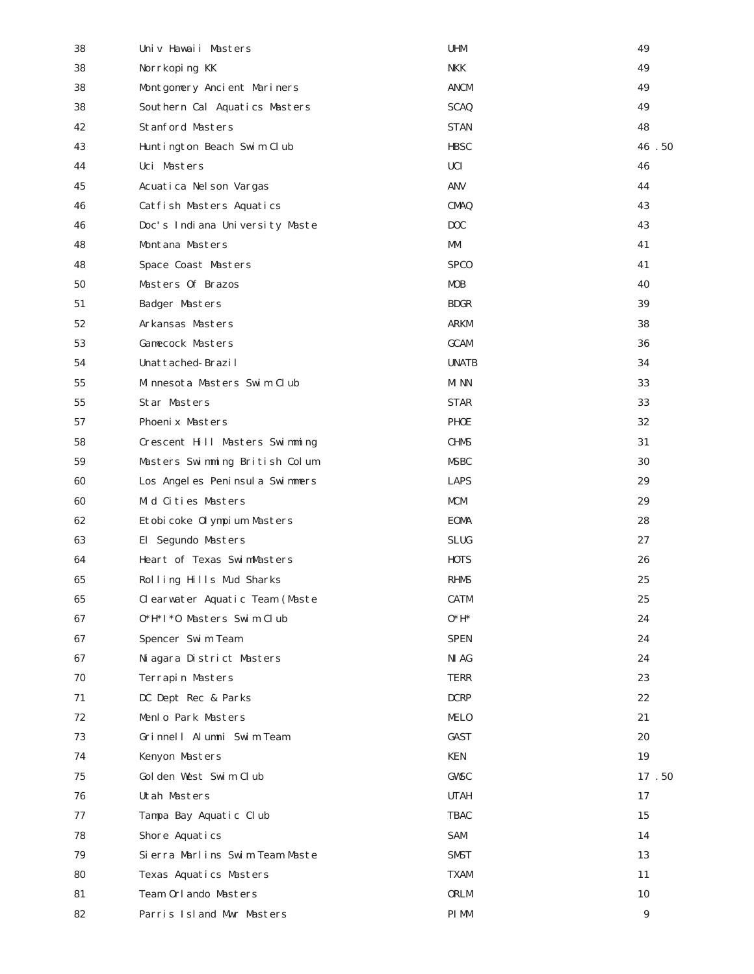| 38 | Univ Hawaii Masters            | <b>UHM</b>       | 49    |
|----|--------------------------------|------------------|-------|
| 38 | Norrkoping KK                  | <b>NKK</b>       | 49    |
| 38 | Montgomery Ancient Mariners    | ANCM             | 49    |
| 38 | Southern Cal Aquatics Masters  | <b>SCAQ</b>      | 49    |
| 42 | <b>Stanford Masters</b>        | <b>STAN</b>      | 48    |
| 43 | Huntington Beach Swim Club     | <b>HBSC</b>      | 46.50 |
| 44 | Uci Masters                    | <b>UCI</b>       | 46    |
| 45 | Acuatica Nelson Vargas         | ANV              | 44    |
| 46 | Catfish Masters Aquatics       | <b>CMAQ</b>      | 43    |
| 46 | Doc's Indiana University Maste | D <sub>O</sub> C | 43    |
| 48 | Montana Masters                | MM               | 41    |
| 48 | Space Coast Masters            | <b>SPCO</b>      | 41    |
| 50 | Masters Of Brazos              | <b>MOB</b>       | 40    |
| 51 | <b>Badger Masters</b>          | <b>BDGR</b>      | 39    |
| 52 | Arkansas Masters               | <b>ARKM</b>      | 38    |
| 53 | <b>Gamecock Masters</b>        | <b>GCAM</b>      | 36    |
| 54 | Unattached-Brazil              | <b>UNATB</b>     | 34    |
| 55 | Minnesota Masters Swim Club    | MI NN            | 33    |
| 55 | Star Masters                   | <b>STAR</b>      | 33    |
| 57 | Phoenix Masters                | <b>PHOE</b>      | 32    |
| 58 | Crescent Hill Masters Swimming | <b>CHMS</b>      | 31    |
| 59 | Masters Swimming British Colum | <b>MSBC</b>      | 30    |
| 60 | Los Angeles Peninsula Swimmers | <b>LAPS</b>      | 29    |
| 60 | Mid Cities Masters             | <b>MCM</b>       | 29    |
| 62 | Etobicoke Olympium Masters     | <b>EOMA</b>      | 28    |
| 63 | El Segundo Masters             | <b>SLUG</b>      | 27    |
| 64 | Heart of Texas SwimMasters     | <b>HOTS</b>      | 26    |
| 65 | Rolling Hills Mud Sharks       | <b>RHMS</b>      | 25    |
| 65 | Clearwater Aquatic Team (Maste | <b>CATM</b>      | 25    |
| 67 | 0*H*I*0 Masters Swim Club      | $0*H*$           | 24    |
| 67 | Spencer Swim Team              | <b>SPEN</b>      | 24    |
| 67 | Niagara District Masters       | NI AG            | 24    |
| 70 | Terrapin Masters               | <b>TERR</b>      | 23    |
| 71 | DC Dept Rec & Parks            | <b>DCRP</b>      | 22    |
| 72 | Menlo Park Masters             | <b>MELO</b>      | 21    |
| 73 | Grinnell Alumni Swim Team      | <b>GAST</b>      | 20    |
| 74 | Kenyon Masters                 | <b>KEN</b>       | 19    |
| 75 | Golden West Swim Club          | <b>GWSC</b>      | 17.50 |
| 76 | Utah Masters                   | <b>UTAH</b>      | 17    |
| 77 | Tampa Bay Aquatic Club         | <b>TBAC</b>      | 15    |
| 78 | Shore Aquatics                 | SAM              | 14    |
| 79 | Sierra Marlins Swim Team Maste | <b>SMST</b>      | 13    |
| 80 | Texas Aquatics Masters         | <b>TXAM</b>      | 11    |
| 81 | Team Orlando Masters           | <b>ORLM</b>      | 10    |
| 82 | Parris Island Mwr Masters      | PI MM            | 9     |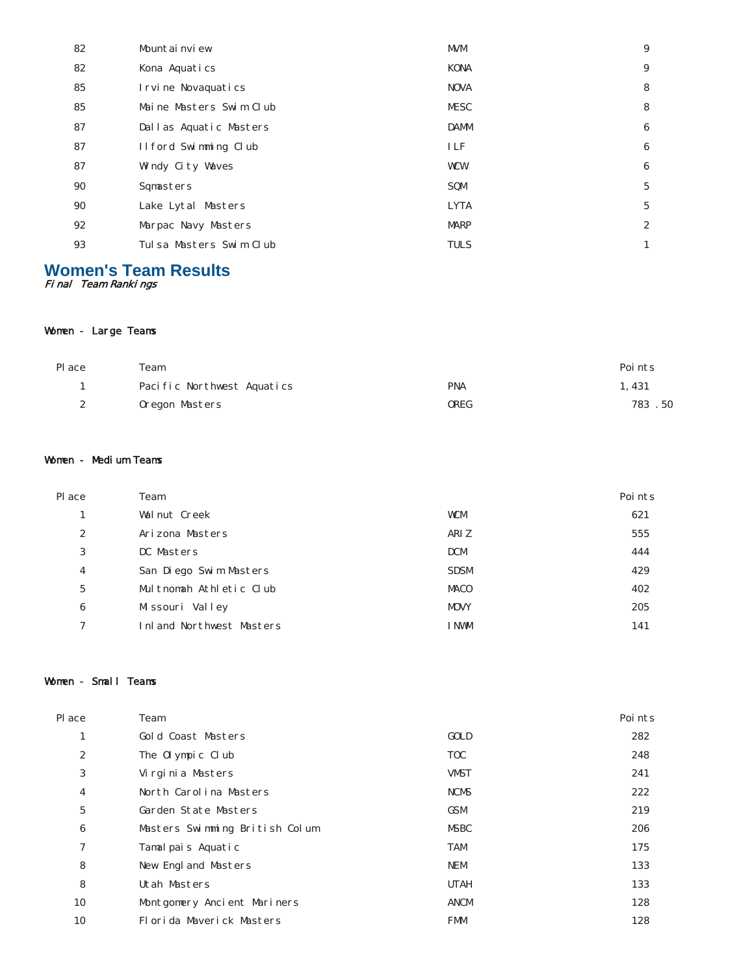| 82 | Mountainview            | <b>MVM</b>  | 9                |
|----|-------------------------|-------------|------------------|
| 82 | Kona Aquatics           | <b>KONA</b> | 9                |
| 85 | I rvi ne Novaquati cs   | <b>NOVA</b> | 8                |
| 85 | Maine Masters Swim Club | <b>MESC</b> | 8                |
| 87 | Dallas Aquatic Masters  | <b>DAMM</b> | 6                |
| 87 | Ilford Swimming Club    | <b>ILF</b>  | 6                |
| 87 | Windy City Waves        | <b>WCW</b>  | 6                |
| 90 | Sqmasters               | SQM         | 5                |
| 90 | Lake Lytal Masters      | <b>LYTA</b> | 5                |
| 92 | Marpac Navy Masters     | <b>MARP</b> | $\boldsymbol{2}$ |
| 93 | Tulsa Masters Swim Club | <b>TULS</b> | 1                |
|    |                         |             |                  |

# **Women's Team Results** Final Team Rankings

### Women - Large Teams

| Pl ace           | Team                       |            | Points |
|------------------|----------------------------|------------|--------|
|                  | Pacific Northwest Aquatics | <b>PNA</b> | l. 431 |
| $\boldsymbol{2}$ | Oregon Masters             | OREG       | 783.50 |

### Women - Medium Teams

| Pl ace | Team                     |             | Points |
|--------|--------------------------|-------------|--------|
| ı      | Walnut Creek             | <b>WCM</b>  | 621    |
| 2      | Arizona Masters          | ARI Z       | 555    |
| 3      | DC Masters               | <b>DCM</b>  | 444    |
| 4      | San Diego Swim Masters   | <b>SDSM</b> | 429    |
| 5      | Multnomah Athletic Club  | <b>MACO</b> | 402    |
| 6      | Missouri Valley          | <b>MOVY</b> | 205    |
| 7      | Inland Northwest Masters | I NWM       | 141    |

# Women - Small Teams

| Place          | Team                           |             | Points |
|----------------|--------------------------------|-------------|--------|
| 1              | Gold Coast Masters             | <b>GOLD</b> | 282    |
| 2              | The Olympic Club               | <b>TOC</b>  | 248    |
| 3              | Virginia Masters               | <b>VMST</b> | 241    |
| $\overline{4}$ | North Carolina Masters         | <b>NCMS</b> | 222    |
| $\overline{5}$ | Garden State Masters           | <b>GSM</b>  | 219    |
| 6              | Masters Swimming British Colum | <b>MSBC</b> | 206    |
| 7              | Tamalpais Aquatic              | <b>TAM</b>  | 175    |
| 8              | New England Masters            | <b>NEM</b>  | 133    |
| 8              | Utah Masters                   | <b>UTAH</b> | 133    |
| 10             | Montgomery Ancient Mariners    | ANCM        | 128    |
| 10             | Florida Maverick Masters       | <b>FMM</b>  | 128    |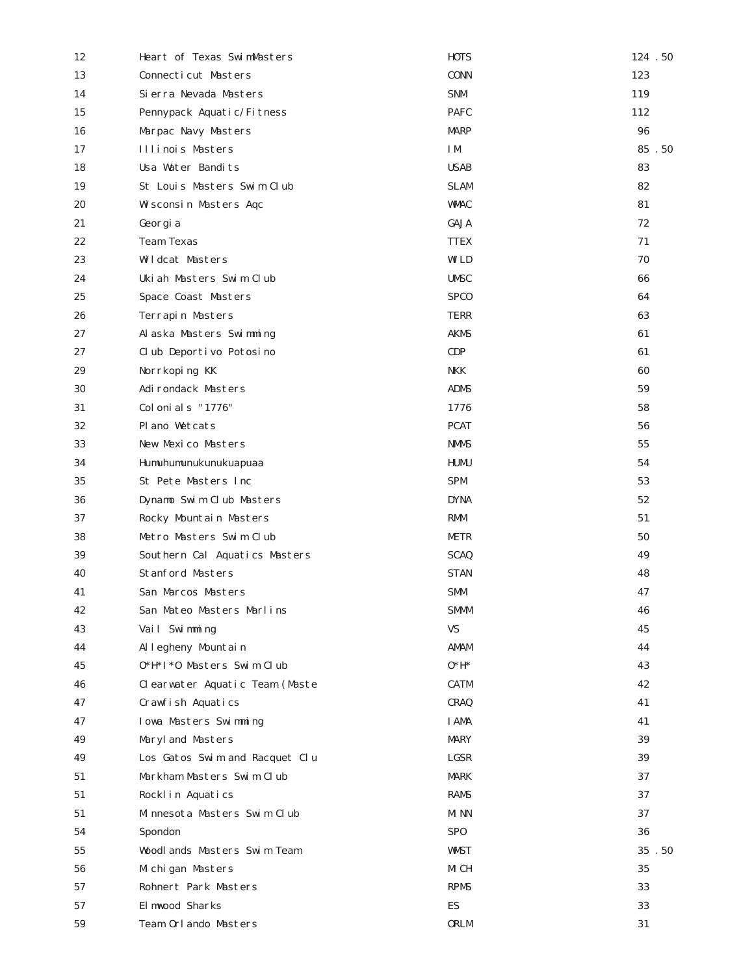| 12 | Heart of Texas SwimMasters     | <b>HOTS</b>     | 124.50 |
|----|--------------------------------|-----------------|--------|
| 13 | Connecticut Masters            | <b>CONN</b>     | 123    |
| 14 | Sierra Nevada Masters          | <b>SNM</b>      | 119    |
| 15 | Pennypack Aquatic/Fitness      | <b>PAFC</b>     | 112    |
| 16 | Marpac Navy Masters            | <b>MARP</b>     | 96     |
| 17 | Illinois Masters               | I M             | 85.50  |
| 18 | Usa Water Bandits              | <b>USAB</b>     | 83     |
| 19 | St Louis Masters Swim Club     | <b>SLAM</b>     | 82     |
| 20 | Wisconsin Masters Aqc          | <b>WMAC</b>     | 81     |
| 21 | Georgia                        | GAJA            | 72     |
| 22 | <b>Team Texas</b>              | <b>TTEX</b>     | 71     |
| 23 | Wildcat Masters                | WI LD           | 70     |
| 24 | Ukiah Masters Swim Club        | <b>UMSC</b>     | 66     |
| 25 | Space Coast Masters            | <b>SPCO</b>     | 64     |
| 26 | Terrapin Masters               | TERR            | 63     |
| 27 | Alaska Masters Swimming        | <b>AKMS</b>     | 61     |
| 27 | Club Deportivo Potosino        | CDP             | 61     |
| 29 | Norrkoping KK                  | NKK             | 60     |
| 30 | Adirondack Masters             | <b>ADMS</b>     | 59     |
| 31 | Colonials "1776"               | 1776            | 58     |
| 32 | Plano Wetcats                  | <b>PCAT</b>     | 56     |
| 33 | New Mexico Masters             | <b>NMMS</b>     | 55     |
| 34 | Humuhumunukunukuapuaa          | HUMU            | 54     |
| 35 | St Pete Masters Inc            | <b>SPM</b>      | 53     |
| 36 | Dynamo Swim Club Masters       | <b>DYNA</b>     | 52     |
| 37 | Rocky Mountain Masters         | RMM             | 51     |
| 38 | Metro Masters Swim Club        | METR            | 50     |
| 39 | Southern Cal Aquatics Masters  | <b>SCAQ</b>     | 49     |
| 40 | <b>Stanford Masters</b>        | <b>STAN</b>     | 48     |
| 41 | San Marcos Masters             | <b>SMM</b>      | 47     |
| 42 | San Mateo Masters Marlins      | <b>SMMM</b>     | 46     |
| 43 | Vail Swimming                  | <b>VS</b>       | 45     |
| 44 | Al legheny Mountain            | AMAM            | 44     |
| 45 | 0*H*I*0 Masters Swim Club      | $0*H^*$         | 43     |
| 46 | Clearwater Aquatic Team (Maste | <b>CATM</b>     | 42     |
| 47 | Crawfish Aquatics              | <b>CRAQ</b>     | 41     |
| 47 | Iowa Masters Swimming          | I AMA           | 41     |
| 49 | Maryl and Masters              | <b>MARY</b>     | 39     |
| 49 | Los Gatos Swim and Racquet Clu | LGSR            | 39     |
| 51 | Markham Masters Swim Club      | MARK            | 37     |
| 51 | Rocklin Aquatics               | RAMS            | 37     |
| 51 | Minnesota Masters Swim Club    | MI NN           | 37     |
| 54 | Spondon                        | SP <sub>0</sub> | 36     |
| 55 | Woodlands Masters Swim Team    | <b>WMST</b>     | 35.50  |
| 56 | Michigan Masters               | MI CH           | 35     |
| 57 | Rohnert Park Masters           | <b>RPMS</b>     | 33     |
| 57 | El mwood Sharks                | ES              | 33     |
| 59 | Team Orlando Masters           | ORLM            | 31     |
|    |                                |                 |        |